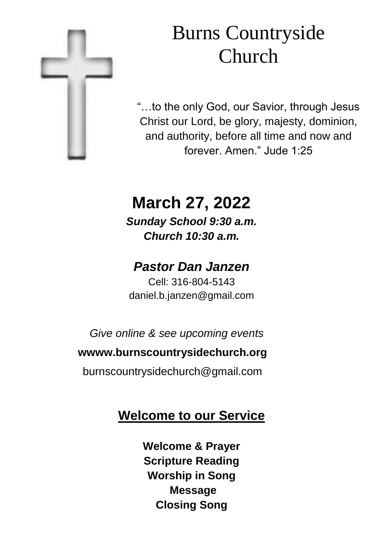

# Burns Countryside Church

"…to the only God, our Savior, through Jesus Christ our Lord, be glory, majesty, dominion, and authority, before all time and now and forever. Amen." Jude 1:25

# **March 27, 2022**

*Sunday School 9:30 a.m. Church 10:30 a.m.*

## *Pastor Dan Janzen*

Cell: 316-804-5143 daniel.b.janzen@gmail.com

*Give online & see upcoming events*

#### **wwww.burnscountrysidechurch.org**

burnscountrysidechurch@gmail.com

### **Welcome to our Service**

**Welcome & Prayer Scripture Reading Worship in Song Message Closing Song**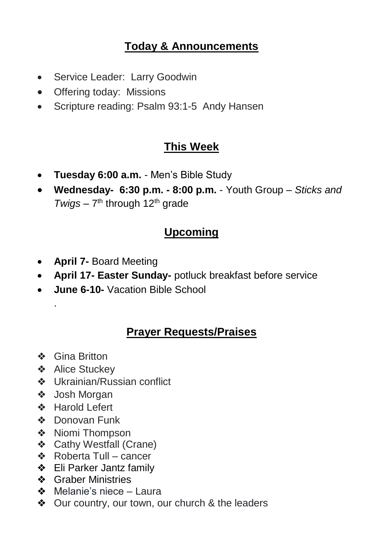#### **Today & Announcements**

- Service Leader: Larry Goodwin
- Offering today: Missions
- Scripture reading: Psalm 93:1-5 Andy Hansen

#### **This Week**

- **Tuesday 6:00 a.m.**  Men's Bible Study
- **Wednesday- 6:30 p.m. - 8:00 p.m.**  Youth Group *Sticks and*  Twigs - 7<sup>th</sup> through 12<sup>th</sup> grade

#### **Upcoming**

- **April 7-** Board Meeting
- **April 17- Easter Sunday-** potluck breakfast before service
- **June 6-10-** Vacation Bible School

#### **Prayer Requests/Praises**

❖ Gina Britton

.

- ❖ Alice Stuckey
- ❖ Ukrainian/Russian conflict
- ❖ Josh Morgan
- ❖ Harold Lefert
- ❖ Donovan Funk
- ❖ Niomi Thompson
- ❖ Cathy Westfall (Crane)
- ❖ Roberta Tull cancer
- ❖ Eli Parker Jantz family
- ❖ Graber Ministries
- ❖ Melanie's niece Laura
- ❖ Our country, our town, our church & the leaders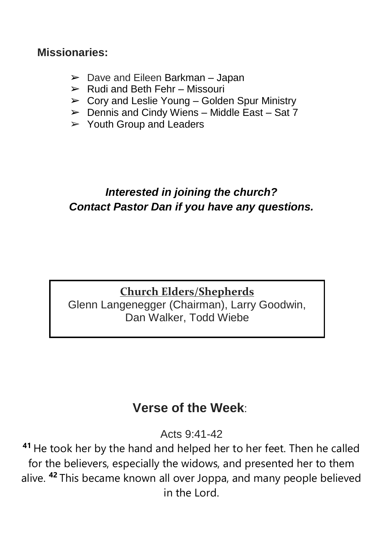#### **Missionaries:**

- $\geq$  Dave and Eileen Barkman Japan
- $\triangleright$  Rudi and Beth Fehr Missouri
- $\geq$  Cory and Leslie Young Golden Spur Ministry
- $\triangleright$  Dennis and Cindy Wiens Middle East Sat 7
- $\geq$  Youth Group and Leaders

#### *Interested in joining the church? Contact Pastor Dan if you have any questions.*

#### **Church Elders/Shepherds** Glenn Langenegger (Chairman), Larry Goodwin, Dan Walker, Todd Wiebe

### **Verse of the Week**:

Acts 9:41-42

**<sup>41</sup>** He took her by the hand and helped her to her feet. Then he called for the believers, especially the widows, and presented her to them alive. **<sup>42</sup>** This became known all over Joppa, and many people believed in the Lord.